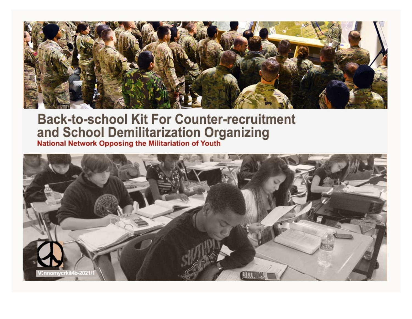

# **Back-to-school Kit For Counter-recruitment** and School Demilitarization Organizing<br>National Network Opposing the Militariation of Youth

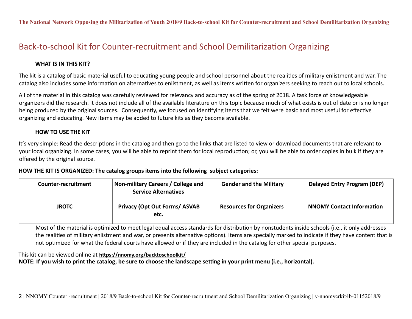# Back‐to‐school Kit for Counter‐recruitment and School Demilitarization Organizing

## **WHAT IS IN THIS KIT?**

The kit is a catalog of basic material useful to educating young people and school personnel about the realities of military enlistment and war. The catalog also includes some information on alternatives to enlistment, as well as items written for organizers seeking to reach out to local schools.

All of the material in this catalog was carefully reviewed for relevancy and accuracy as of the spring of 2018. A task force of knowledgeable organizers did the research. It does not include all of the available literature on this topic because much of what exists is out of date or is no longer being produced by the original sources. Consequently, we focused on identifying items that we felt were basic and most useful for effective organizing and educating. New items may be added to future kits as they become available.

## **HOW TO USE THE KIT**

It's very simple: Read the descriptions in the catalog and then go to the links that are listed to view or download documents that are relevant to your local organizing. In some cases, you will be able to reprint them for local reproduction; or, you will be able to order copies in bulk if they are offered by the original source.

## **HOW THE KIT IS ORGANIZED: The catalog groups items into the following subject categories:**

| Counter-recruitment | <b>Non-military Careers / College and</b><br><b>Service Alternatives</b> | <b>Gender and the Military</b>  | <b>Delayed Entry Program (DEP)</b> |
|---------------------|--------------------------------------------------------------------------|---------------------------------|------------------------------------|
| <b>JROTC</b>        | <b>Privacy (Opt Out Forms/ ASVAB</b><br>etc.                             | <b>Resources for Organizers</b> | <b>NNOMY Contact Information</b>   |

Most of the material is optimized to meet legal equal access standards for distribution by nonstudents inside schools (i.e., it only addresses the realities of military enlistment and war, or presents alternative options). Items are specially marked to indicate if they have content that is not optimized for what the federal courts have allowed or if they are included in the catalog for other special purposes.

## This kit can be viewed online at **<https://nnomy.org/backtoschoolkit/>**

**NOTE: If you wish to print the catalog, be sure to choose the landscape setting in your print menu (i.e., horizontal).**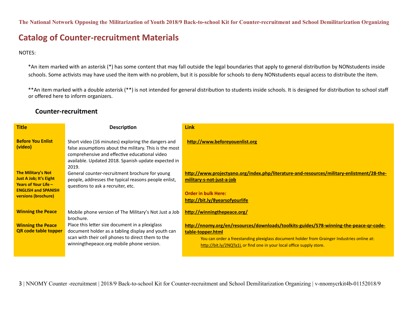## **Catalog of Counter‐recruitment Materials**

NOTES:

\*An item marked with an asterisk (\*) has some content that may fall outside the legal boundaries that apply to general distribution by NONstudents inside schools. Some activists may have used the item with no problem, but it is possible for schools to deny NONstudents equal access to distribute the item.

\*\*An item marked with a double asterisk (\*\*) is not intended for general distribution to students inside schools. It is designed for distribution to school staff or offered here to inform organizers.

## **Counter‐recruitment**

| <b>Title</b>                                                                                                                              | <b>Description</b>                                                                                                                                                                                                            | <b>Link</b>                                                                                                                                                                                                                                                                        |
|-------------------------------------------------------------------------------------------------------------------------------------------|-------------------------------------------------------------------------------------------------------------------------------------------------------------------------------------------------------------------------------|------------------------------------------------------------------------------------------------------------------------------------------------------------------------------------------------------------------------------------------------------------------------------------|
| <b>Before You Enlist</b><br>(video)                                                                                                       | Short video (16 minutes) exploring the dangers and<br>false assumptions about the military. This is the most<br>comprehensive and effective educational video<br>available. Updated 2018. Spanish update expected in<br>2019. | http://www.beforeyouenlist.org                                                                                                                                                                                                                                                     |
| <b>The Military's Not</b><br><b>Just A Job; It's Eight</b><br>Years of Your Life $-$<br><b>ENGLISH and SPANISH</b><br>versions (brochure) | General counter-recruitment brochure for young<br>people, addresses the typical reasons people enlist,<br>questions to ask a recruiter, etc.                                                                                  | http://www.projectyano.org/index.php/literature-and-resources/military-enlistment/28-the-<br>military-s-not-just-a-job<br><b>Order in bulk Here:</b><br>http://bit.ly/8yearsofyourlife                                                                                             |
| <b>Winning the Peace</b>                                                                                                                  | Mobile phone version of The Military's Not Just a Job<br>brochure.                                                                                                                                                            | http://winningthepeace.org/                                                                                                                                                                                                                                                        |
| <b>Winning the Peace</b><br><b>QR</b> code table topper                                                                                   | Place this letter size document in a plexiglass<br>document holder as a tabling display and youth can<br>scan with their cell phones to direct them to the<br>winningthepeace.org mobile phone version.                       | http://nnomy.org/en/resources/downloads/toolkits-guides/578-winning-the-peace-gr-code-<br>table-topper.html<br>You can order a freestanding plexiglass document holder from Grainger Industries online at:<br>http://bit.ly/2NQTa1L or find one in your local office supply store. |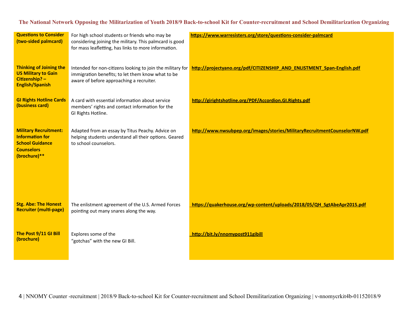| <b>Questions to Consider</b><br>(two-sided palmcard)                                                                  | For high school students or friends who may be<br>considering joining the military. This palmcard is good<br>for mass leafletting, has links to more information. | https://www.warresisters.org/store/questions-consider-palmcard            |
|-----------------------------------------------------------------------------------------------------------------------|-------------------------------------------------------------------------------------------------------------------------------------------------------------------|---------------------------------------------------------------------------|
| <b>Thinking of Joining the</b><br><b>US Military to Gain</b><br>Citizenship? -<br><b>English/Spanish</b>              | Intended for non-citizens looking to join the military for<br>immigration benefits; to let them know what to be<br>aware of before approaching a recruiter.       | http://projectyano.org/pdf/CITIZENSHIP AND ENLISTMENT Span-English.pdf    |
| <b>GI Rights Hotline Cards</b><br>(business card)                                                                     | A card with essential information about service<br>members' rights and contact information for the<br>GI Rights Hotline.                                          | http://girightshotline.org/PDF/Accordion.GI.Rights.pdf                    |
| <b>Military Recruitment:</b><br><b>Information for</b><br><b>School Guidance</b><br><b>Counselors</b><br>(brochure)** | Adapted from an essay by Titus Peachy. Advice on<br>helping students understand all their options. Geared<br>to school counselors.                                | http://www.nwsubpep.org/images/stories/MilitaryRecruitmentCounselorNW.pdf |
| <b>Stg. Abe: The Honest</b><br><b>Recruiter (multi-page)</b>                                                          | The enlistment agreement of the U.S. Armed Forces<br>pointing out many snares along the way.                                                                      | https://quakerhouse.org/wp-content/uploads/2018/05/QH SgtAbeApr2015.pdf   |
| The Post 9/11 GI Bill<br>(brochure)                                                                                   | Explores some of the<br>"gotchas" with the new GI Bill.                                                                                                           | http://bit.ly/nnomypost911gibill                                          |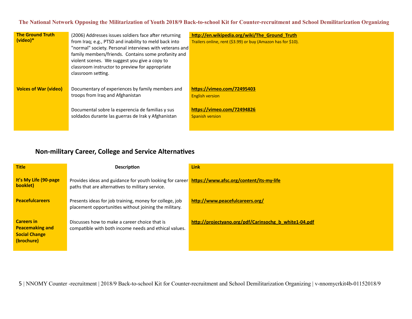| <b>The Ground Truth</b><br>$(video)*$ | (2006) Addresses issues soldiers face after returning<br>from Iraq; e.g., PTSD and inability to meld back into<br>"normal" society. Personal interviews with veterans and<br>family members/friends. Contains some profanity and<br>violent scenes. We suggest you give a copy to<br>classroom instructor to preview for appropriate<br>classroom setting. | http://en.wikipedia.org/wiki/The Ground Truth<br>Trailers online, rent (\$3.99) or buy (Amazon has for \$10). |
|---------------------------------------|------------------------------------------------------------------------------------------------------------------------------------------------------------------------------------------------------------------------------------------------------------------------------------------------------------------------------------------------------------|---------------------------------------------------------------------------------------------------------------|
| <b>Voices of War (video)</b>          | Documentary of experiences by family members and<br>troops from Iraq and Afghanistan<br>Documental sobre la esperencia de familias y sus<br>soldados durante las guerras de Irak y Afghanistan                                                                                                                                                             | https://vimeo.com/72495403<br><b>English version</b><br>https://vimeo.com/72494826<br><b>Spanish version</b>  |

## **Non‐military Career, College and Service Alternatives**

| <b>Title</b>                                                                      | <b>Description</b>                                                                                                                                    | <b>Link</b>                                           |
|-----------------------------------------------------------------------------------|-------------------------------------------------------------------------------------------------------------------------------------------------------|-------------------------------------------------------|
| It's My Life (90-page)<br>booklet)                                                | Provides ideas and guidance for youth looking for career https://www.afsc.org/content/its-my-life<br>paths that are alternatives to military service. |                                                       |
| <b>Peacefulcareers</b>                                                            | Presents ideas for job training, money for college, job<br>placement opportunities without joining the military.                                      | http://www.peacefulcareers.org/                       |
| <b>Careers in</b><br><b>Peacemaking and</b><br><b>Social Change</b><br>(brochure) | Discusses how to make a career choice that is<br>compatible with both income needs and ethical values.                                                | http://projectyano.org/pdf/Carinsochg b white1-04.pdf |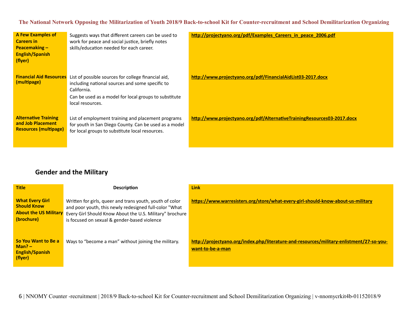| <b>A Few Examples of</b><br><b>Careers in</b><br><b>Peacemaking -</b><br><b>English/Spanish</b><br>(flyer) | Suggests ways that different careers can be used to<br>work for peace and social justice, briefly notes<br>skills/education needed for each career.                                                | http://projectyano.org/pdf/Examples Careers in peace 2006.pdf           |
|------------------------------------------------------------------------------------------------------------|----------------------------------------------------------------------------------------------------------------------------------------------------------------------------------------------------|-------------------------------------------------------------------------|
| <b>Financial Aid Resources</b><br>(multipage)                                                              | List of possible sources for college financial aid,<br>including national sources and some specific to<br>California.<br>Can be used as a model for local groups to substitute<br>local resources. | http://www.projectyano.org/pdf/FinancialAidList03-2017.docx             |
| <b>Alternative Training</b><br>and Job Placement<br><b>Resources (multipage)</b>                           | List of employment training and placement programs<br>for youth in San Diego County. Can be used as a model<br>for local groups to substitute local resources.                                     | http://www.projectyano.org/pdf/AlternativeTrainingResources03-2017.docx |

## **Gender and the Military**

| <b>Title</b>                                                                               | <b>Description</b>                                                                                                                                                                                                             | <b>Link</b>                                                                                                  |
|--------------------------------------------------------------------------------------------|--------------------------------------------------------------------------------------------------------------------------------------------------------------------------------------------------------------------------------|--------------------------------------------------------------------------------------------------------------|
| <b>What Every Girl</b><br><b>Should Know</b><br><b>About the US Military</b><br>(brochure) | Written for girls, queer and trans youth, youth of color<br>and poor youth, this newly redesigned full-color "What<br>Every Girl Should Know About the U.S. Military" brochure<br>is focused on sexual & gender-based violence | https://www.warresisters.org/store/what-every-girl-should-know-about-us-military                             |
| So You Want to Be a<br>$Man? -$<br><b>English/Spanish</b><br>(flyer)                       | Ways to "become a man" without joining the military.                                                                                                                                                                           | http://projectyano.org/index.php/literature-and-resources/military-enlistment/27-so-you-<br>want-to-be-a-man |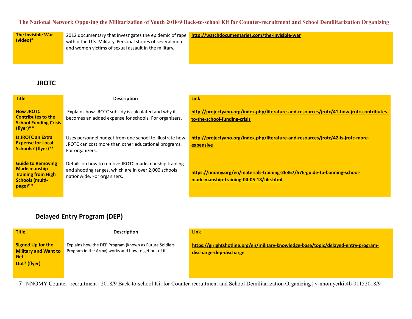**The Invisible War (video)\***

2012 documentary that investigates the epidemic of rape within the U.S. Military. Personal stories of several men and women victims of sexual assault in the military.

**[http://watchdocumentaries.com/the‐invisible‐war](http://watchdocumentaries.com/the-invisible-war)**

## **JROTC**

| <b>Title</b>                                                                                                       | <b>Description</b>                                                                                                                          | <b>Link</b>                                                                                                               |
|--------------------------------------------------------------------------------------------------------------------|---------------------------------------------------------------------------------------------------------------------------------------------|---------------------------------------------------------------------------------------------------------------------------|
| <b>How JROTC</b><br><b>Contributes to the</b><br><b>School Funding Crisis</b><br>(flyer)**                         | Explains how JROTC subsidy is calculated and why it<br>becomes an added expense for schools. For organizers.                                | http://projectyano.org/index.php/literature-and-resources/jrotc/41-how-jrotc-contributes-<br>to-the-school-funding-crisis |
| <b>Is JROTC an Extra</b><br><b>Expense for Local</b><br>Schools? (flyer)**                                         | Uses personnel budget from one school to illustrate how<br>JROTC can cost more than other educational programs.<br>For organizers.          | http://projectyano.org/index.php/literature-and-resources/jrotc/42-is-jrotc-more-<br>expensive                            |
| <b>Guide to Removing</b><br><b>Marksmanship</b><br><b>Training from High</b><br><b>Schools (multi-</b><br>page) ** | Details on how to remove JROTC marksmanship training<br>and shooting ranges, which are in over 2,000 schools<br>nationwide. For organizers. | https://nnomy.org/en/materials-training-26367/576-guide-to-banning-school-<br>marksmanship-training-04-05-18/file.html    |

## **Delayed Entry Program (DEP)**

| <b>Title</b>                                                                   | <b>Description</b>                                                                                             | <b>Link</b>                                                                                                    |
|--------------------------------------------------------------------------------|----------------------------------------------------------------------------------------------------------------|----------------------------------------------------------------------------------------------------------------|
| <b>Signed Up for the</b><br><b>Military and Want to</b><br>Get<br>Out? (flyer) | Explains how the DEP Program (known as Future Soldiers<br>Program in the Army) works and how to get out of it. | https://girightshotline.org/en/military-knowledge-base/topic/delayed-entry-program-<br>discharge-dep-discharge |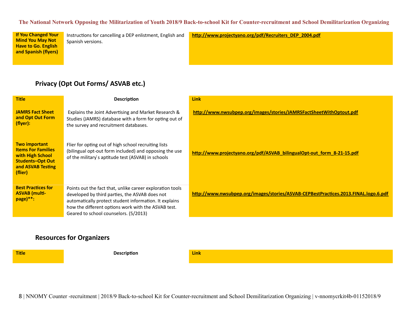**If You Changed Your Mind You May Not Have to Go. English and Spanish (flyers)**

Instructions for cancelling a DEP enlistment, English and Spanish versions.

**[http://www.projectyano.org/pdf/Recruiters\\_DEP\\_2004.pdf](http://www.projectyano.org/pdf/Recruiters_DEP_2004.pdf)**

## **Privacy (Opt Out Forms/ ASVAB etc.)**

| <b>Title</b>                                                                                                                     | <b>Description</b>                                                                                                                                                                                                                                                    | <b>Link</b>                                                                         |
|----------------------------------------------------------------------------------------------------------------------------------|-----------------------------------------------------------------------------------------------------------------------------------------------------------------------------------------------------------------------------------------------------------------------|-------------------------------------------------------------------------------------|
| <b>JAMRS Fact Sheet</b><br>and Opt Out Form<br>(flyer):                                                                          | Explains the Joint Advertising and Market Research &<br>Studies (JAMRS) database with a form for opting out of<br>the survey and recruitment databases.                                                                                                               | http://www.nwsubpep.org/images/stories/JAMRSFactSheetWithOptout.pdf                 |
| <b>Two important</b><br><b>Items For Families</b><br>with High School<br><b>Students-Opt Out</b><br>and ASVAB Testing<br>(flier) | Flier for opting out of high school recruiting lists<br>(bilingual opt-out form included) and opposing the use<br>of the military's aptitude test (ASVAB) in schools                                                                                                  | http://www.projectyano.org/pdf/ASVAB bilingualOpt-out form 8-21-15.pdf              |
| <b>Best Practices for</b><br><b>ASVAB</b> (multi-<br>page)**:                                                                    | Points out the fact that, unlike career exploration tools<br>developed by third parties, the ASVAB does not<br>automatically protect student information. It explains<br>how the different options work with the ASVAB test.<br>Geared to school counselors. (5/2013) | http://www.nwsubpep.org/images/stories/ASVAB-CEPBestPractices.2013.FINAL.logo.6.pdf |

## **Resources for Organizers**

| <b>Title</b> | <b>Description</b> | <b>Link</b> |
|--------------|--------------------|-------------|
|              |                    |             |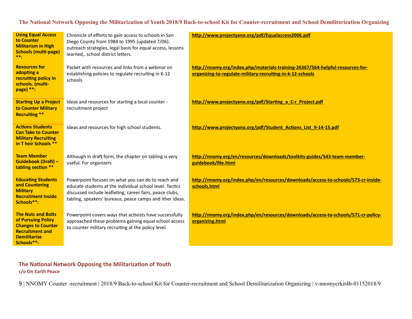| <b>Using Equal Access</b><br>to Counter<br><b>Militarism in High</b><br><b>Schools (multi-page)</b><br>$***$                                | Chronicle of efforts to gain access to schools in San<br>Diego County from 1984 to 1995 (updated 7/06):<br>outreach strategies, legal basis for equal access, lessons<br>learned,. school district letters.                            | http://www.projectyano.org/pdf/Equalaccess2006.pdf                                                                                           |
|---------------------------------------------------------------------------------------------------------------------------------------------|----------------------------------------------------------------------------------------------------------------------------------------------------------------------------------------------------------------------------------------|----------------------------------------------------------------------------------------------------------------------------------------------|
| <b>Resources for</b><br>adopting a<br>recruiting policy in<br>schools. (multi-<br>page) $**$ :                                              | Packet with resources and links from a webinar on<br>establishing policies to regulate recruiting in K-12<br>schools                                                                                                                   | http://nnomy.org/index.php/materials-training-26367/564-helpful-resources-for-<br>organizing-to-regulate-military-recruiting-in-k-12-schools |
| <b>Starting Up a Project</b><br>to Counter Military<br><b>Recruiting **</b>                                                                 | Ideas and resources for starting a local counter -<br>recruitment project                                                                                                                                                              | http://www.projectyano.org/pdf/Starting a C-r Project.pdf                                                                                    |
| <b>Actions Students</b><br><b>Can Take to Counter</b><br><b>Military Recruiting</b><br>in T heir Schools **                                 | Ideas and resources for high school students.                                                                                                                                                                                          | http://www.projectyano.org/pdf/Student Actions List 9-14-15.pdf                                                                              |
| <b>Team Member</b><br><b>Guidebook (Draft) -</b><br>tabling section **                                                                      | Although in draft form, the chapter on tabling is very<br>useful. For organizers                                                                                                                                                       | http://nnomy.org/en/resources/downloads/toolkits-guides/543-team-member-<br>guidebook/file.html                                              |
| <b>Educating Students</b><br>and Countering<br><b>Military</b><br><b>Recruitment Inside</b><br>Schools**:                                   | Powerpoint focuses on what you can do to reach and<br>educate students at the individual school level. Tactics<br>discussed include leafleting, career fairs, peace clubs,<br>tabling, speakers' bureaus, peace camps and ither ideas. | http://nnomy.org/index.php/en/resources/downloads/access-to-schools/573-cr-inside-<br>schools.html                                           |
| <b>The Nuts and Bolts</b><br>of Pursuing Policy<br><b>Changes to Counter</b><br><b>Recruitment and</b><br><b>Demilitarize</b><br>Schools**: | Powerpoint covers ways that activists have successfully<br>approached these problems gaining equal school access<br>to counter military recruiting at the policy level.                                                                | http://nnomy.org/index.php/en/resources/downloads/access-to-schools/571-cr-policy-<br>organizing.html                                        |

**The National Network Opposing the Militarization of Youth c/o On Earth Peace**